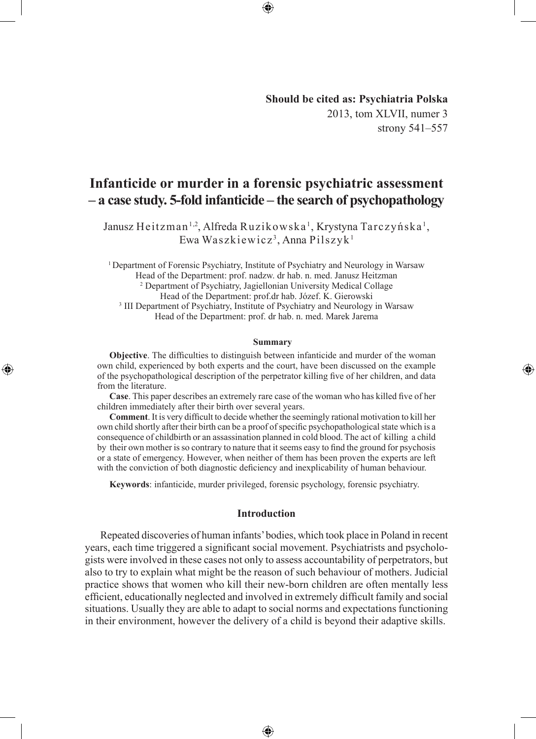## **Should be cited as: Psychiatria Polska** 2013, tom XLVII, numer 3 strony 541–557

⊕

# **Infanticide or murder in a forensic psychiatric assessment – a case study. 5-fold infanticide – the search of psychopathology**

⊕

Janusz Heitzman<sup>1,2</sup>, Alfreda Ruzikowska<sup>1</sup>, Krystyna Tarczyńska<sup>1</sup>, Ewa Waszkiewicz<sup>3</sup>, Anna Pilszyk<sup>1</sup>

<sup>1</sup> Department of Forensic Psychiatry, Institute of Psychiatry and Neurology in Warsaw Head of the Department: prof. nadzw. dr hab. n. med. Janusz Heitzman 2 Department of Psychiatry, Jagiellonian University Medical Collage Head of the Department: prof.dr hab. Józef. K. Gierowski <sup>3</sup> III Department of Psychiatry, Institute of Psychiatry and Neurology in Warsaw Head of the Department: prof. dr hab. n. med. Marek Jarema

#### **Summary**

**Objective**. The difficulties to distinguish between infanticide and murder of the woman own child, experienced by both experts and the court, have been discussed on the example of the psychopathological description of the perpetrator killing five of her children, and data from the literature.

◈

**Case**. This paper describes an extremely rare case of the woman who has killed five of her children immediately after their birth over several years.

**Comment**. It is very difficult to decide whether the seemingly rational motivation to kill her own child shortly after their birth can be a proof of specific psychopathological state which is a consequence of childbirth or an assassination planned in cold blood. The act of killing a child by their own mother is so contrary to nature that it seems easy to find the ground for psychosis or a state of emergency. However, when neither of them has been proven the experts are left with the conviction of both diagnostic deficiency and inexplicability of human behaviour.

**Keywords**: infanticide, murder privileged, forensic psychology, forensic psychiatry.

## **Introduction**

Repeated discoveries of human infants' bodies, which took place in Poland in recent years, each time triggered a significant social movement. Psychiatrists and psychologists were involved in these cases not only to assess accountability of perpetrators, but also to try to explain what might be the reason of such behaviour of mothers. Judicial practice shows that women who kill their new-born children are often mentally less efficient, educationally neglected and involved in extremely difficult family and social situations. Usually they are able to adapt to social norms and expectations functioning in their environment, however the delivery of a child is beyond their adaptive skills.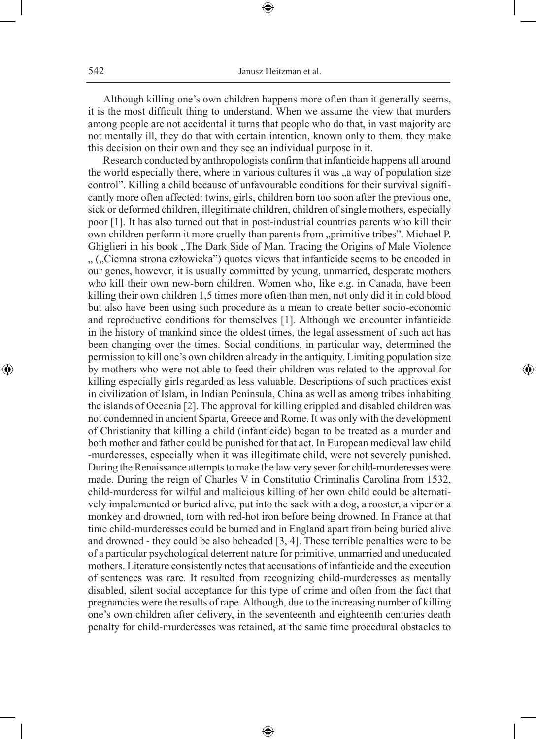Although killing one's own children happens more often than it generally seems, it is the most difficult thing to understand. When we assume the view that murders among people are not accidental it turns that people who do that, in vast majority are not mentally ill, they do that with certain intention, known only to them, they make this decision on their own and they see an individual purpose in it.

Research conducted by anthropologists confirm that infanticide happens all around the world especially there, where in various cultures it was  $a_n$  way of population size control". Killing a child because of unfavourable conditions for their survival significantly more often affected: twins, girls, children born too soon after the previous one, sick or deformed children, illegitimate children, children of single mothers, especially poor [1]. It has also turned out that in post-industrial countries parents who kill their own children perform it more cruelly than parents from "primitive tribes". Michael P. Ghiglieri in his book "The Dark Side of Man. Tracing the Origins of Male Violence ", ("Ciemna strona człowieka") quotes views that infanticide seems to be encoded in our genes, however, it is usually committed by young, unmarried, desperate mothers who kill their own new-born children. Women who, like e.g. in Canada, have been killing their own children 1,5 times more often than men, not only did it in cold blood but also have been using such procedure as a mean to create better socio-economic and reproductive conditions for themselves [1]. Although we encounter infanticide in the history of mankind since the oldest times, the legal assessment of such act has been changing over the times. Social conditions, in particular way, determined the permission to kill one's own children already in the antiquity. Limiting population size by mothers who were not able to feed their children was related to the approval for killing especially girls regarded as less valuable. Descriptions of such practices exist in civilization of Islam, in Indian Peninsula, China as well as among tribes inhabiting the islands of Oceania [2]. The approval for killing crippled and disabled children was not condemned in ancient Sparta, Greece and Rome. It was only with the development of Christianity that killing a child (infanticide) began to be treated as a murder and both mother and father could be punished for that act. In European medieval law child -murderesses, especially when it was illegitimate child, were not severely punished. During the Renaissance attempts to make the law very sever for child-murderesses were made. During the reign of Charles V in Constitutio Criminalis Carolina from 1532, child-murderess for wilful and malicious killing of her own child could be alternatively impalemented or buried alive, put into the sack with a dog, a rooster, a viper or a monkey and drowned, torn with red-hot iron before being drowned. In France at that time child-murderesses could be burned and in England apart from being buried alive and drowned - they could be also beheaded [3, 4]. These terrible penalties were to be of a particular psychological deterrent nature for primitive, unmarried and uneducated mothers. Literature consistently notes that accusations of infanticide and the execution of sentences was rare. It resulted from recognizing child-murderesses as mentally disabled, silent social acceptance for this type of crime and often from the fact that pregnancies were the results of rape. Although, due to the increasing number of killing one's own children after delivery, in the seventeenth and eighteenth centuries death penalty for child-murderesses was retained, at the same time procedural obstacles to

⊕

◈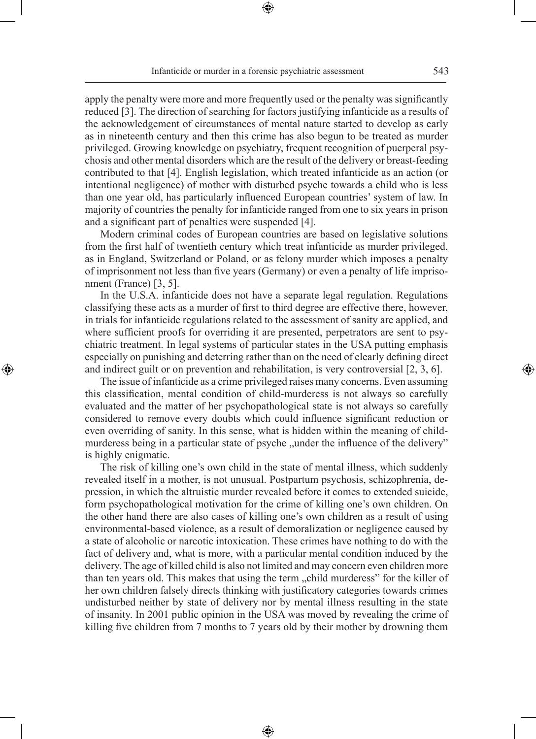⊕

apply the penalty were more and more frequently used or the penalty was significantly reduced [3]. The direction of searching for factors justifying infanticide as a results of the acknowledgement of circumstances of mental nature started to develop as early as in nineteenth century and then this crime has also begun to be treated as murder privileged. Growing knowledge on psychiatry, frequent recognition of puerperal psychosis and other mental disorders which are the result of the delivery or breast-feeding contributed to that [4]. English legislation, which treated infanticide as an action (or intentional negligence) of mother with disturbed psyche towards a child who is less than one year old, has particularly influenced European countries' system of law. In majority of countries the penalty for infanticide ranged from one to six years in prison and a significant part of penalties were suspended [4].

Modern criminal codes of European countries are based on legislative solutions from the first half of twentieth century which treat infanticide as murder privileged, as in England, Switzerland or Poland, or as felony murder which imposes a penalty of imprisonment not less than five years (Germany) or even a penalty of life imprisonment (France) [3, 5].

In the U.S.A. infanticide does not have a separate legal regulation. Regulations classifying these acts as a murder of first to third degree are effective there, however, in trials for infanticide regulations related to the assessment of sanity are applied, and where sufficient proofs for overriding it are presented, perpetrators are sent to psychiatric treatment. In legal systems of particular states in the USA putting emphasis especially on punishing and deterring rather than on the need of clearly defining direct and indirect guilt or on prevention and rehabilitation, is very controversial [2, 3, 6].

◈

The issue of infanticide as a crime privileged raises many concerns. Even assuming this classification, mental condition of child-murderess is not always so carefully evaluated and the matter of her psychopathological state is not always so carefully considered to remove every doubts which could influence significant reduction or even overriding of sanity. In this sense, what is hidden within the meaning of childmurderess being in a particular state of psyche "under the influence of the delivery" is highly enigmatic.

The risk of killing one's own child in the state of mental illness, which suddenly revealed itself in a mother, is not unusual. Postpartum psychosis, schizophrenia, depression, in which the altruistic murder revealed before it comes to extended suicide, form psychopathological motivation for the crime of killing one's own children. On the other hand there are also cases of killing one's own children as a result of using environmental-based violence, as a result of demoralization or negligence caused by a state of alcoholic or narcotic intoxication. These crimes have nothing to do with the fact of delivery and, what is more, with a particular mental condition induced by the delivery. The age of killed child is also not limited and may concern even children more than ten years old. This makes that using the term "child murderess" for the killer of her own children falsely directs thinking with justificatory categories towards crimes undisturbed neither by state of delivery nor by mental illness resulting in the state of insanity. In 2001 public opinion in the USA was moved by revealing the crime of killing five children from 7 months to 7 years old by their mother by drowning them

⊕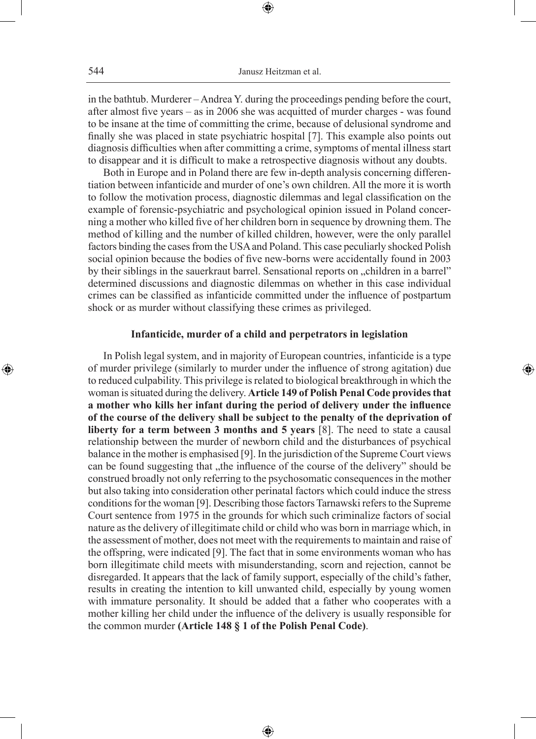in the bathtub. Murderer – Andrea Y. during the proceedings pending before the court, after almost five years – as in 2006 she was acquitted of murder charges - was found to be insane at the time of committing the crime, because of delusional syndrome and finally she was placed in state psychiatric hospital [7]. This example also points out diagnosis difficulties when after committing a crime, symptoms of mental illness start to disappear and it is difficult to make a retrospective diagnosis without any doubts.

Both in Europe and in Poland there are few in-depth analysis concerning differentiation between infanticide and murder of one's own children. All the more it is worth to follow the motivation process, diagnostic dilemmas and legal classification on the example of forensic-psychiatric and psychological opinion issued in Poland concerning a mother who killed five of her children born in sequence by drowning them. The method of killing and the number of killed children, however, were the only parallel factors binding the cases from the USA and Poland. This case peculiarly shocked Polish social opinion because the bodies of five new-borns were accidentally found in 2003 by their siblings in the sauerkraut barrel. Sensational reports on  $\chi$ -children in a barrel" determined discussions and diagnostic dilemmas on whether in this case individual crimes can be classified as infanticide committed under the influence of postpartum shock or as murder without classifying these crimes as privileged.

## **Infanticide, murder of a child and perpetrators in legislation**

◈

In Polish legal system, and in majority of European countries, infanticide is a type of murder privilege (similarly to murder under the influence of strong agitation) due to reduced culpability. This privilege is related to biological breakthrough in which the woman is situated during the delivery. **Article 149 of Polish Penal Code provides that a mother who kills her infant during the period of delivery under the influence of the course of the delivery shall be subject to the penalty of the deprivation of liberty for a term between 3 months and 5 years** [8]. The need to state a causal relationship between the murder of newborn child and the disturbances of psychical balance in the mother is emphasised [9]. In the jurisdiction of the Supreme Court views can be found suggesting that "the influence of the course of the delivery" should be construed broadly not only referring to the psychosomatic consequences in the mother but also taking into consideration other perinatal factors which could induce the stress conditions for the woman [9]. Describing those factors Tarnawski refers to the Supreme Court sentence from 1975 in the grounds for which such criminalize factors of social nature as the delivery of illegitimate child or child who was born in marriage which, in the assessment of mother, does not meet with the requirements to maintain and raise of the offspring, were indicated [9]. The fact that in some environments woman who has born illegitimate child meets with misunderstanding, scorn and rejection, cannot be disregarded. It appears that the lack of family support, especially of the child's father, results in creating the intention to kill unwanted child, especially by young women with immature personality. It should be added that a father who cooperates with a mother killing her child under the influence of the delivery is usually responsible for the common murder **(Article 148 § 1 of the Polish Penal Code)**.

⊕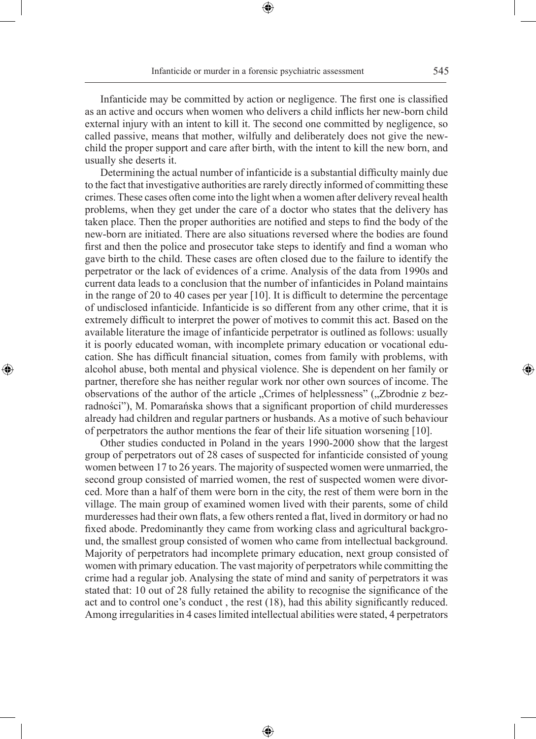⊕

Infanticide may be committed by action or negligence. The first one is classified as an active and occurs when women who delivers a child inflicts her new-born child external injury with an intent to kill it. The second one committed by negligence, so called passive, means that mother, wilfully and deliberately does not give the newchild the proper support and care after birth, with the intent to kill the new born, and usually she deserts it.

Determining the actual number of infanticide is a substantial difficulty mainly due to the fact that investigative authorities are rarely directly informed of committing these crimes. These cases often come into the light when a women after delivery reveal health problems, when they get under the care of a doctor who states that the delivery has taken place. Then the proper authorities are notified and steps to find the body of the new-born are initiated. There are also situations reversed where the bodies are found first and then the police and prosecutor take steps to identify and find a woman who gave birth to the child. These cases are often closed due to the failure to identify the perpetrator or the lack of evidences of a crime. Analysis of the data from 1990s and current data leads to a conclusion that the number of infanticides in Poland maintains in the range of 20 to 40 cases per year [10]. It is difficult to determine the percentage of undisclosed infanticide. Infanticide is so different from any other crime, that it is extremely difficult to interpret the power of motives to commit this act. Based on the available literature the image of infanticide perpetrator is outlined as follows: usually it is poorly educated woman, with incomplete primary education or vocational education. She has difficult financial situation, comes from family with problems, with alcohol abuse, both mental and physical violence. She is dependent on her family or partner, therefore she has neither regular work nor other own sources of income. The observations of the author of the article "Crimes of helplessness" ("Zbrodnie z bezradności"), M. Pomarańska shows that a significant proportion of child murderesses already had children and regular partners or husbands. As a motive of such behaviour of perpetrators the author mentions the fear of their life situation worsening [10].

◈

Other studies conducted in Poland in the years 1990-2000 show that the largest group of perpetrators out of 28 cases of suspected for infanticide consisted of young women between 17 to 26 years. The majority of suspected women were unmarried, the second group consisted of married women, the rest of suspected women were divorced. More than a half of them were born in the city, the rest of them were born in the village. The main group of examined women lived with their parents, some of child murderesses had their own flats, a few others rented a flat, lived in dormitory or had no fixed abode. Predominantly they came from working class and agricultural background, the smallest group consisted of women who came from intellectual background. Majority of perpetrators had incomplete primary education, next group consisted of women with primary education. The vast majority of perpetrators while committing the crime had a regular job. Analysing the state of mind and sanity of perpetrators it was stated that: 10 out of 28 fully retained the ability to recognise the significance of the act and to control one's conduct , the rest (18), had this ability significantly reduced. Among irregularities in 4 cases limited intellectual abilities were stated, 4 perpetrators

⊕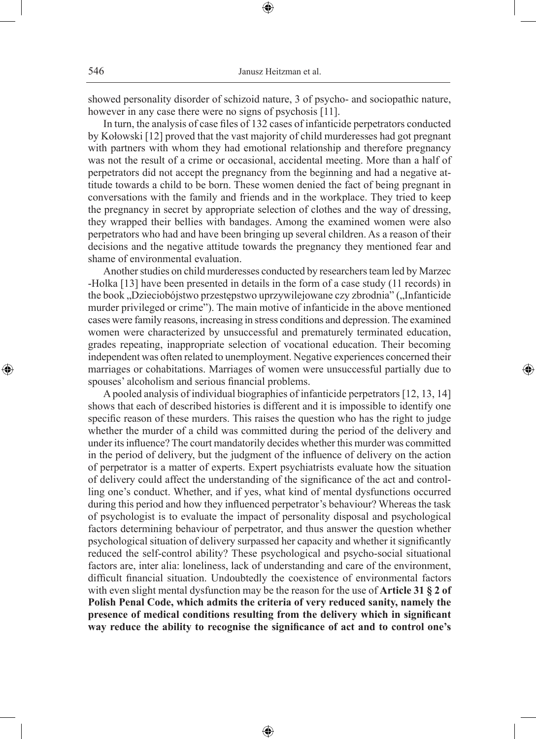showed personality disorder of schizoid nature, 3 of psycho- and sociopathic nature, however in any case there were no signs of psychosis [11].

⊕

In turn, the analysis of case files of 132 cases of infanticide perpetrators conducted by Kołowski [12] proved that the vast majority of child murderesses had got pregnant with partners with whom they had emotional relationship and therefore pregnancy was not the result of a crime or occasional, accidental meeting. More than a half of perpetrators did not accept the pregnancy from the beginning and had a negative attitude towards a child to be born. These women denied the fact of being pregnant in conversations with the family and friends and in the workplace. They tried to keep the pregnancy in secret by appropriate selection of clothes and the way of dressing, they wrapped their bellies with bandages. Among the examined women were also perpetrators who had and have been bringing up several children. As a reason of their decisions and the negative attitude towards the pregnancy they mentioned fear and shame of environmental evaluation.

Another studies on child murderesses conducted by researchers team led by Marzec -Holka [13] have been presented in details in the form of a case study (11 records) in the book "Dzieciobójstwo przestępstwo uprzywilejowane czy zbrodnia" ("Infanticide murder privileged or crime"). The main motive of infanticide in the above mentioned cases were family reasons, increasing in stress conditions and depression. The examined women were characterized by unsuccessful and prematurely terminated education, grades repeating, inappropriate selection of vocational education. Their becoming independent was often related to unemployment. Negative experiences concerned their marriages or cohabitations. Marriages of women were unsuccessful partially due to spouses' alcoholism and serious financial problems.

⊕

A pooled analysis of individual biographies of infanticide perpetrators [12, 13, 14] shows that each of described histories is different and it is impossible to identify one specific reason of these murders. This raises the question who has the right to judge whether the murder of a child was committed during the period of the delivery and under its influence? The court mandatorily decides whether this murder was committed in the period of delivery, but the judgment of the influence of delivery on the action of perpetrator is a matter of experts. Expert psychiatrists evaluate how the situation of delivery could affect the understanding of the significance of the act and controlling one's conduct. Whether, and if yes, what kind of mental dysfunctions occurred during this period and how they influenced perpetrator's behaviour? Whereas the task of psychologist is to evaluate the impact of personality disposal and psychological factors determining behaviour of perpetrator, and thus answer the question whether psychological situation of delivery surpassed her capacity and whether it significantly reduced the self-control ability? These psychological and psycho-social situational factors are, inter alia: loneliness, lack of understanding and care of the environment, difficult financial situation. Undoubtedly the coexistence of environmental factors with even slight mental dysfunction may be the reason for the use of **Article 31 § 2 of Polish Penal Code, which admits the criteria of very reduced sanity, namely the presence of medical conditions resulting from the delivery which in significant way reduce the ability to recognise the significance of act and to control one's** 

⊕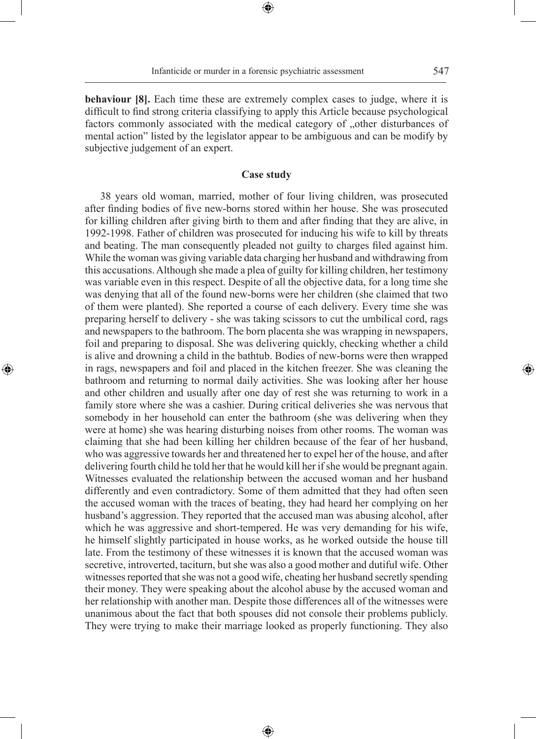**behaviour [8].** Each time these are extremely complex cases to judge, where it is difficult to find strong criteria classifying to apply this Article because psychological factors commonly associated with the medical category of "other disturbances of mental action" listed by the legislator appear to be ambiguous and can be modify by subjective judgement of an expert.

## **Case study**

38 years old woman, married, mother of four living children, was prosecuted after finding bodies of five new-borns stored within her house. She was prosecuted for killing children after giving birth to them and after finding that they are alive, in 1992-1998. Father of children was prosecuted for inducing his wife to kill by threats and beating. The man consequently pleaded not guilty to charges filed against him. While the woman was giving variable data charging her husband and withdrawing from this accusations. Although she made a plea of guilty for killing children, her testimony was variable even in this respect. Despite of all the objective data, for a long time she was denying that all of the found new-borns were her children (she claimed that two of them were planted). She reported a course of each delivery. Every time she was preparing herself to delivery - she was taking scissors to cut the umbilical cord, rags and newspapers to the bathroom. The born placenta she was wrapping in newspapers, foil and preparing to disposal. She was delivering quickly, checking whether a child is alive and drowning a child in the bathtub. Bodies of new-borns were then wrapped in rags, newspapers and foil and placed in the kitchen freezer. She was cleaning the bathroom and returning to normal daily activities. She was looking after her house and other children and usually after one day of rest she was returning to work in a family store where she was a cashier. During critical deliveries she was nervous that somebody in her household can enter the bathroom (she was delivering when they were at home) she was hearing disturbing noises from other rooms. The woman was claiming that she had been killing her children because of the fear of her husband, who was aggressive towards her and threatened her to expel her of the house, and after delivering fourth child he told her that he would kill her if she would be pregnant again. Witnesses evaluated the relationship between the accused woman and her husband differently and even contradictory. Some of them admitted that they had often seen the accused woman with the traces of beating, they had heard her complying on her husband's aggression. They reported that the accused man was abusing alcohol, after which he was aggressive and short-tempered. He was very demanding for his wife, he himself slightly participated in house works, as he worked outside the house till late. From the testimony of these witnesses it is known that the accused woman was secretive, introverted, taciturn, but she was also a good mother and dutiful wife. Other witnesses reported that she was not a good wife, cheating her husband secretly spending their money. They were speaking about the alcohol abuse by the accused woman and her relationship with another man. Despite those differences all of the witnesses were unanimous about the fact that both spouses did not console their problems publicly. They were trying to make their marriage looked as properly functioning. They also

⊕

◈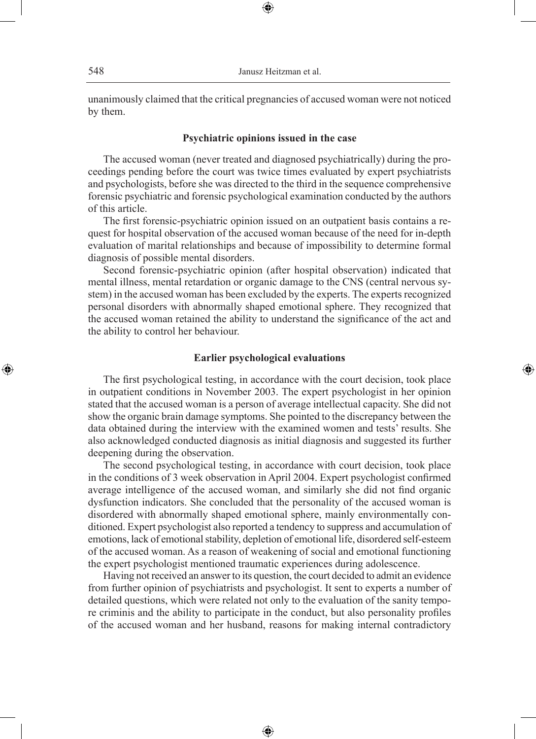unanimously claimed that the critical pregnancies of accused woman were not noticed by them.

⊕

## **Psychiatric opinions issued in the case**

The accused woman (never treated and diagnosed psychiatrically) during the proceedings pending before the court was twice times evaluated by expert psychiatrists and psychologists, before she was directed to the third in the sequence comprehensive forensic psychiatric and forensic psychological examination conducted by the authors of this article.

The first forensic-psychiatric opinion issued on an outpatient basis contains a request for hospital observation of the accused woman because of the need for in-depth evaluation of marital relationships and because of impossibility to determine formal diagnosis of possible mental disorders.

Second forensic-psychiatric opinion (after hospital observation) indicated that mental illness, mental retardation or organic damage to the CNS (central nervous system) in the accused woman has been excluded by the experts. The experts recognized personal disorders with abnormally shaped emotional sphere. They recognized that the accused woman retained the ability to understand the significance of the act and the ability to control her behaviour.

## **Earlier psychological evaluations**

◈

The first psychological testing, in accordance with the court decision, took place in outpatient conditions in November 2003. The expert psychologist in her opinion stated that the accused woman is a person of average intellectual capacity. She did not show the organic brain damage symptoms. She pointed to the discrepancy between the data obtained during the interview with the examined women and tests' results. She also acknowledged conducted diagnosis as initial diagnosis and suggested its further deepening during the observation.

The second psychological testing, in accordance with court decision, took place in the conditions of 3 week observation in April 2004. Expert psychologist confirmed average intelligence of the accused woman, and similarly she did not find organic dysfunction indicators. She concluded that the personality of the accused woman is disordered with abnormally shaped emotional sphere, mainly environmentally conditioned. Expert psychologist also reported a tendency to suppress and accumulation of emotions, lack of emotional stability, depletion of emotional life, disordered self-esteem of the accused woman. As a reason of weakening of social and emotional functioning the expert psychologist mentioned traumatic experiences during adolescence.

Having not received an answer to its question, the court decided to admit an evidence from further opinion of psychiatrists and psychologist. It sent to experts a number of detailed questions, which were related not only to the evaluation of the sanity tempore criminis and the ability to participate in the conduct, but also personality profiles of the accused woman and her husband, reasons for making internal contradictory

⊕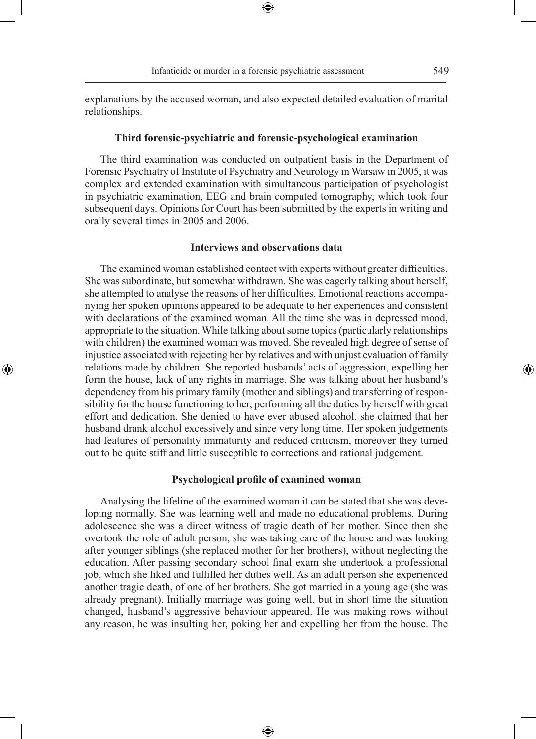explanations by the accused woman, and also expected detailed evaluation of marital relationships.

⊕

#### **Third forensic-psychiatric and forensic-psychological examination**

The third examination was conducted on outpatient basis in the Department of Forensic Psychiatry of Institute of Psychiatry and Neurology in Warsaw in 2005, it was complex and extended examination with simultaneous participation of psychologist in psychiatric examination, EEG and brain computed tomography, which took four subsequent days. Opinions for Court has been submitted by the experts in writing and orally several times in 2005 and 2006.

## **Interviews and observations data**

The examined woman established contact with experts without greater difficulties. She was subordinate, but somewhat withdrawn. She was eagerly talking about herself, she attempted to analyse the reasons of her difficulties. Emotional reactions accompanying her spoken opinions appeared to be adequate to her experiences and consistent with declarations of the examined woman. All the time she was in depressed mood, appropriate to the situation. While talking about some topics (particularly relationships with children) the examined woman was moved. She revealed high degree of sense of injustice associated with rejecting her by relatives and with unjust evaluation of family relations made by children. She reported husbands' acts of aggression, expelling her form the house, lack of any rights in marriage. She was talking about her husband's dependency from his primary family (mother and siblings) and transferring of responsibility for the house functioning to her, performing all the duties by herself with great effort and dedication. She denied to have ever abused alcohol, she claimed that her husband drank alcohol excessively and since very long time. Her spoken judgements had features of personality immaturity and reduced criticism, moreover they turned out to be quite stiff and little susceptible to corrections and rational judgement.

◈

#### **Psychological profile of examined woman**

Analysing the lifeline of the examined woman it can be stated that she was developing normally. She was learning well and made no educational problems. During adolescence she was a direct witness of tragic death of her mother. Since then she overtook the role of adult person, she was taking care of the house and was looking after younger siblings (she replaced mother for her brothers), without neglecting the education. After passing secondary school final exam she undertook a professional job, which she liked and fulfilled her duties well. As an adult person she experienced another tragic death, of one of her brothers. She got married in a young age (she was already pregnant). Initially marriage was going well, but in short time the situation changed, husband's aggressive behaviour appeared. He was making rows without any reason, he was insulting her, poking her and expelling her from the house. The

⊕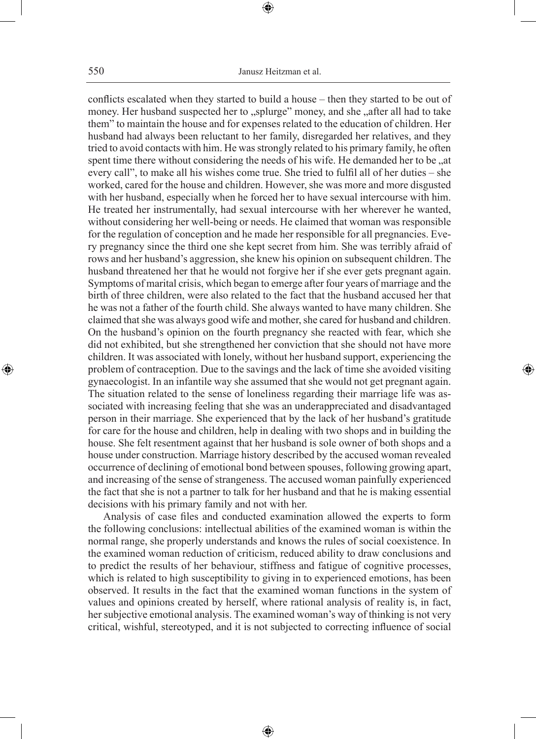conflicts escalated when they started to build a house – then they started to be out of money. Her husband suspected her to "splurge" money, and she "after all had to take them" to maintain the house and for expenses related to the education of children. Her husband had always been reluctant to her family, disregarded her relatives, and they tried to avoid contacts with him. He was strongly related to his primary family, he often spent time there without considering the needs of his wife. He demanded her to be, at every call", to make all his wishes come true. She tried to fulfil all of her duties – she worked, cared for the house and children. However, she was more and more disgusted with her husband, especially when he forced her to have sexual intercourse with him. He treated her instrumentally, had sexual intercourse with her wherever he wanted, without considering her well-being or needs. He claimed that woman was responsible for the regulation of conception and he made her responsible for all pregnancies. Every pregnancy since the third one she kept secret from him. She was terribly afraid of rows and her husband's aggression, she knew his opinion on subsequent children. The husband threatened her that he would not forgive her if she ever gets pregnant again. Symptoms of marital crisis, which began to emerge after four years of marriage and the birth of three children, were also related to the fact that the husband accused her that he was not a father of the fourth child. She always wanted to have many children. She claimed that she was always good wife and mother, she cared for husband and children. On the husband's opinion on the fourth pregnancy she reacted with fear, which she did not exhibited, but she strengthened her conviction that she should not have more children. It was associated with lonely, without her husband support, experiencing the problem of contraception. Due to the savings and the lack of time she avoided visiting gynaecologist. In an infantile way she assumed that she would not get pregnant again. The situation related to the sense of loneliness regarding their marriage life was associated with increasing feeling that she was an underappreciated and disadvantaged person in their marriage. She experienced that by the lack of her husband's gratitude for care for the house and children, help in dealing with two shops and in building the house. She felt resentment against that her husband is sole owner of both shops and a house under construction. Marriage history described by the accused woman revealed occurrence of declining of emotional bond between spouses, following growing apart, and increasing of the sense of strangeness. The accused woman painfully experienced the fact that she is not a partner to talk for her husband and that he is making essential decisions with his primary family and not with her.

⊕

Analysis of case files and conducted examination allowed the experts to form the following conclusions: intellectual abilities of the examined woman is within the normal range, she properly understands and knows the rules of social coexistence. In the examined woman reduction of criticism, reduced ability to draw conclusions and to predict the results of her behaviour, stiffness and fatigue of cognitive processes, which is related to high susceptibility to giving in to experienced emotions, has been observed. It results in the fact that the examined woman functions in the system of values and opinions created by herself, where rational analysis of reality is, in fact, her subjective emotional analysis. The examined woman's way of thinking is not very critical, wishful, stereotyped, and it is not subjected to correcting influence of social

⊕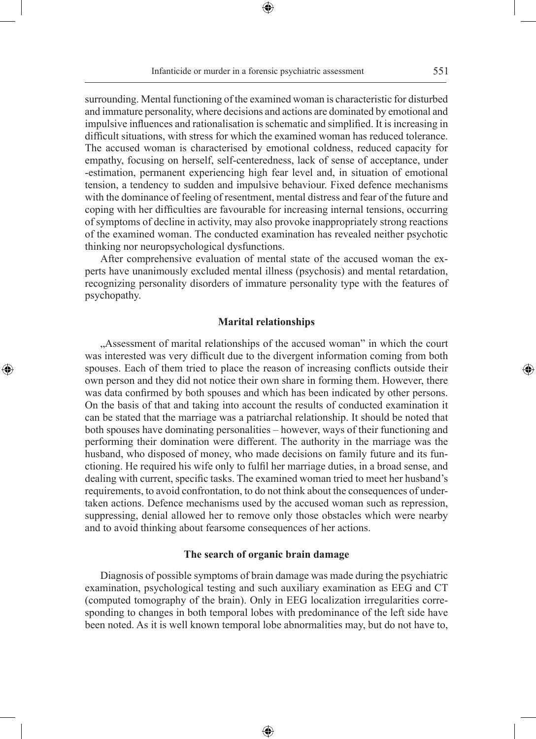⊕

surrounding. Mental functioning of the examined woman is characteristic for disturbed and immature personality, where decisions and actions are dominated by emotional and impulsive influences and rationalisation is schematic and simplified. It is increasing in difficult situations, with stress for which the examined woman has reduced tolerance. The accused woman is characterised by emotional coldness, reduced capacity for empathy, focusing on herself, self-centeredness, lack of sense of acceptance, under -estimation, permanent experiencing high fear level and, in situation of emotional tension, a tendency to sudden and impulsive behaviour. Fixed defence mechanisms with the dominance of feeling of resentment, mental distress and fear of the future and coping with her difficulties are favourable for increasing internal tensions, occurring of symptoms of decline in activity, may also provoke inappropriately strong reactions of the examined woman. The conducted examination has revealed neither psychotic thinking nor neuropsychological dysfunctions.

After comprehensive evaluation of mental state of the accused woman the experts have unanimously excluded mental illness (psychosis) and mental retardation, recognizing personality disorders of immature personality type with the features of psychopathy.

### **Marital relationships**

 $\bigoplus$ 

"Assessment of marital relationships of the accused woman" in which the court was interested was very difficult due to the divergent information coming from both spouses. Each of them tried to place the reason of increasing conflicts outside their own person and they did not notice their own share in forming them. However, there was data confirmed by both spouses and which has been indicated by other persons. On the basis of that and taking into account the results of conducted examination it can be stated that the marriage was a patriarchal relationship. It should be noted that both spouses have dominating personalities – however, ways of their functioning and performing their domination were different. The authority in the marriage was the husband, who disposed of money, who made decisions on family future and its functioning. He required his wife only to fulfil her marriage duties, in a broad sense, and dealing with current, specific tasks. The examined woman tried to meet her husband's requirements, to avoid confrontation, to do not think about the consequences of undertaken actions. Defence mechanisms used by the accused woman such as repression, suppressing, denial allowed her to remove only those obstacles which were nearby and to avoid thinking about fearsome consequences of her actions.

## **The search of organic brain damage**

Diagnosis of possible symptoms of brain damage was made during the psychiatric examination, psychological testing and such auxiliary examination as EEG and CT (computed tomography of the brain). Only in EEG localization irregularities corresponding to changes in both temporal lobes with predominance of the left side have been noted. As it is well known temporal lobe abnormalities may, but do not have to,

⊕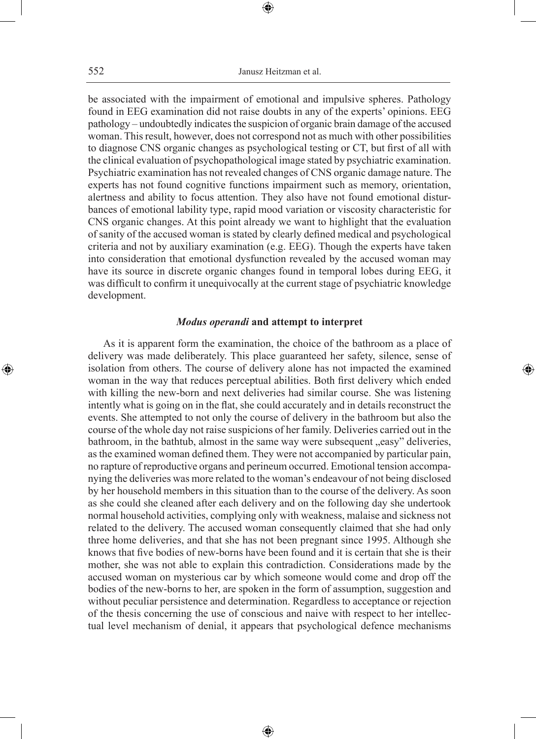552 Janusz Heitzman et al.

⊕

be associated with the impairment of emotional and impulsive spheres. Pathology found in EEG examination did not raise doubts in any of the experts' opinions. EEG pathology – undoubtedly indicates the suspicion of organic brain damage of the accused woman. This result, however, does not correspond not as much with other possibilities to diagnose CNS organic changes as psychological testing or CT, but first of all with the clinical evaluation of psychopathological image stated by psychiatric examination. Psychiatric examination has not revealed changes of CNS organic damage nature. The experts has not found cognitive functions impairment such as memory, orientation, alertness and ability to focus attention. They also have not found emotional disturbances of emotional lability type, rapid mood variation or viscosity characteristic for CNS organic changes. At this point already we want to highlight that the evaluation of sanity of the accused woman is stated by clearly defined medical and psychological criteria and not by auxiliary examination (e.g. EEG). Though the experts have taken into consideration that emotional dysfunction revealed by the accused woman may have its source in discrete organic changes found in temporal lobes during EEG, it was difficult to confirm it unequivocally at the current stage of psychiatric knowledge development.

## *Modus operandi* **and attempt to interpret**

⊕

As it is apparent form the examination, the choice of the bathroom as a place of delivery was made deliberately. This place guaranteed her safety, silence, sense of isolation from others. The course of delivery alone has not impacted the examined woman in the way that reduces perceptual abilities. Both first delivery which ended with killing the new-born and next deliveries had similar course. She was listening intently what is going on in the flat, she could accurately and in details reconstruct the events. She attempted to not only the course of delivery in the bathroom but also the course of the whole day not raise suspicions of her family. Deliveries carried out in the bathroom, in the bathtub, almost in the same way were subsequent "easy" deliveries, as the examined woman defined them. They were not accompanied by particular pain, no rapture of reproductive organs and perineum occurred. Emotional tension accompanying the deliveries was more related to the woman's endeavour of not being disclosed by her household members in this situation than to the course of the delivery. As soon as she could she cleaned after each delivery and on the following day she undertook normal household activities, complying only with weakness, malaise and sickness not related to the delivery. The accused woman consequently claimed that she had only three home deliveries, and that she has not been pregnant since 1995. Although she knows that five bodies of new-borns have been found and it is certain that she is their mother, she was not able to explain this contradiction. Considerations made by the accused woman on mysterious car by which someone would come and drop off the bodies of the new-borns to her, are spoken in the form of assumption, suggestion and without peculiar persistence and determination. Regardless to acceptance or rejection of the thesis concerning the use of conscious and naive with respect to her intellectual level mechanism of denial, it appears that psychological defence mechanisms

⊕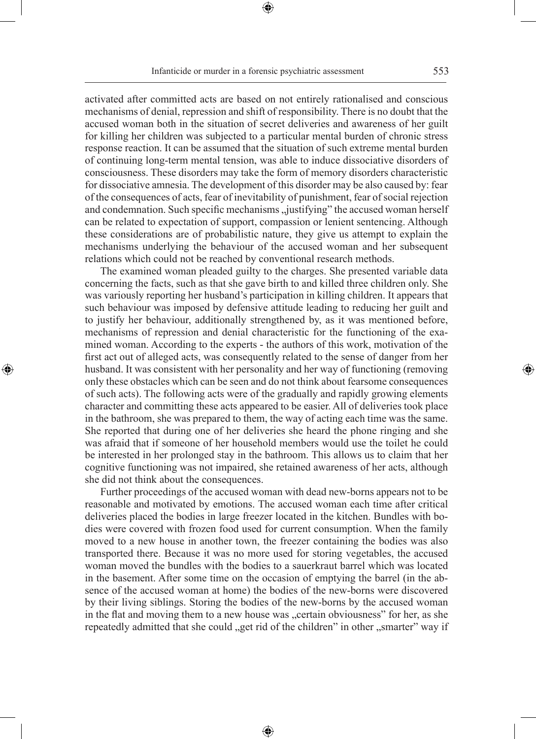⊕

activated after committed acts are based on not entirely rationalised and conscious mechanisms of denial, repression and shift of responsibility. There is no doubt that the accused woman both in the situation of secret deliveries and awareness of her guilt for killing her children was subjected to a particular mental burden of chronic stress response reaction. It can be assumed that the situation of such extreme mental burden of continuing long-term mental tension, was able to induce dissociative disorders of consciousness. These disorders may take the form of memory disorders characteristic for dissociative amnesia. The development of this disorder may be also caused by: fear of the consequences of acts, fear of inevitability of punishment, fear of social rejection and condemnation. Such specific mechanisms "justifying" the accused woman herself can be related to expectation of support, compassion or lenient sentencing. Although these considerations are of probabilistic nature, they give us attempt to explain the mechanisms underlying the behaviour of the accused woman and her subsequent relations which could not be reached by conventional research methods.

The examined woman pleaded guilty to the charges. She presented variable data concerning the facts, such as that she gave birth to and killed three children only. She was variously reporting her husband's participation in killing children. It appears that such behaviour was imposed by defensive attitude leading to reducing her guilt and to justify her behaviour, additionally strengthened by, as it was mentioned before, mechanisms of repression and denial characteristic for the functioning of the examined woman. According to the experts - the authors of this work, motivation of the first act out of alleged acts, was consequently related to the sense of danger from her husband. It was consistent with her personality and her way of functioning (removing only these obstacles which can be seen and do not think about fearsome consequences of such acts). The following acts were of the gradually and rapidly growing elements character and committing these acts appeared to be easier. All of deliveries took place in the bathroom, she was prepared to them, the way of acting each time was the same. She reported that during one of her deliveries she heard the phone ringing and she was afraid that if someone of her household members would use the toilet he could be interested in her prolonged stay in the bathroom. This allows us to claim that her cognitive functioning was not impaired, she retained awareness of her acts, although she did not think about the consequences.

◈

Further proceedings of the accused woman with dead new-borns appears not to be reasonable and motivated by emotions. The accused woman each time after critical deliveries placed the bodies in large freezer located in the kitchen. Bundles with bodies were covered with frozen food used for current consumption. When the family moved to a new house in another town, the freezer containing the bodies was also transported there. Because it was no more used for storing vegetables, the accused woman moved the bundles with the bodies to a sauerkraut barrel which was located in the basement. After some time on the occasion of emptying the barrel (in the absence of the accused woman at home) the bodies of the new-borns were discovered by their living siblings. Storing the bodies of the new-borns by the accused woman in the flat and moving them to a new house was "certain obviousness" for her, as she repeatedly admitted that she could "get rid of the children" in other "smarter" way if

⊕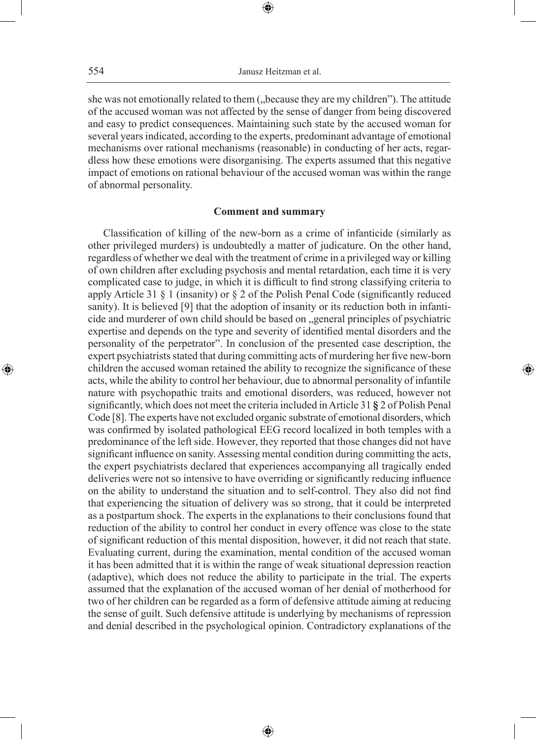she was not emotionally related to them ("because they are my children"). The attitude of the accused woman was not affected by the sense of danger from being discovered and easy to predict consequences. Maintaining such state by the accused woman for several years indicated, according to the experts, predominant advantage of emotional mechanisms over rational mechanisms (reasonable) in conducting of her acts, regardless how these emotions were disorganising. The experts assumed that this negative impact of emotions on rational behaviour of the accused woman was within the range of abnormal personality.

## **Comment and summary**

Classification of killing of the new-born as a crime of infanticide (similarly as other privileged murders) is undoubtedly a matter of judicature. On the other hand, regardless of whether we deal with the treatment of crime in a privileged way or killing of own children after excluding psychosis and mental retardation, each time it is very complicated case to judge, in which it is difficult to find strong classifying criteria to apply Article 31 § 1 (insanity) or § 2 of the Polish Penal Code (significantly reduced sanity). It is believed [9] that the adoption of insanity or its reduction both in infanticide and murderer of own child should be based on "general principles of psychiatric expertise and depends on the type and severity of identified mental disorders and the personality of the perpetrator". In conclusion of the presented case description, the expert psychiatrists stated that during committing acts of murdering her five new-born children the accused woman retained the ability to recognize the significance of these acts, while the ability to control her behaviour, due to abnormal personality of infantile nature with psychopathic traits and emotional disorders, was reduced, however not significantly, which does not meet the criteria included in Article 31 **§** 2 of Polish Penal Code [8]. The experts have not excluded organic substrate of emotional disorders, which was confirmed by isolated pathological EEG record localized in both temples with a predominance of the left side. However, they reported that those changes did not have significant influence on sanity. Assessing mental condition during committing the acts, the expert psychiatrists declared that experiences accompanying all tragically ended deliveries were not so intensive to have overriding or significantly reducing influence on the ability to understand the situation and to self-control. They also did not find that experiencing the situation of delivery was so strong, that it could be interpreted as a postpartum shock. The experts in the explanations to their conclusions found that reduction of the ability to control her conduct in every offence was close to the state of significant reduction of this mental disposition, however, it did not reach that state. Evaluating current, during the examination, mental condition of the accused woman it has been admitted that it is within the range of weak situational depression reaction (adaptive), which does not reduce the ability to participate in the trial. The experts assumed that the explanation of the accused woman of her denial of motherhood for two of her children can be regarded as a form of defensive attitude aiming at reducing the sense of guilt. Such defensive attitude is underlying by mechanisms of repression and denial described in the psychological opinion. Contradictory explanations of the

◈

◈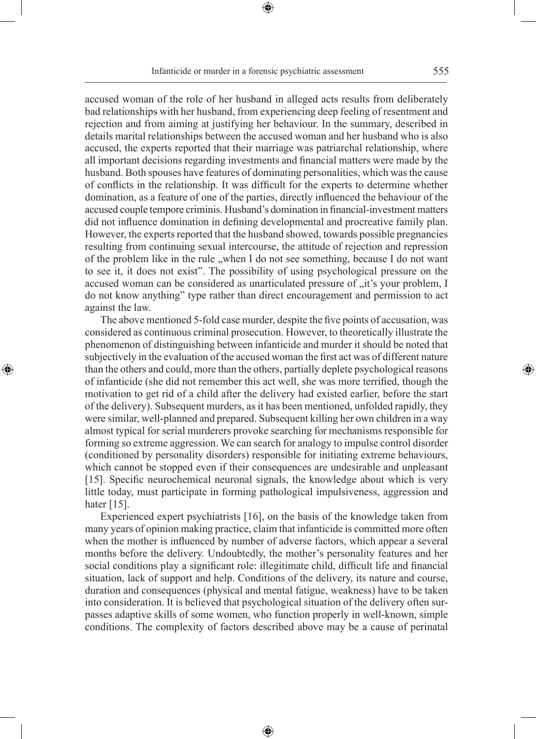accused woman of the role of her husband in alleged acts results from deliberately bad relationships with her husband, from experiencing deep feeling of resentment and rejection and from aiming at justifying her behaviour. In the summary, described in details marital relationships between the accused woman and her husband who is also accused, the experts reported that their marriage was patriarchal relationship, where all important decisions regarding investments and financial matters were made by the husband. Both spouses have features of dominating personalities, which was the cause of conflicts in the relationship. It was difficult for the experts to determine whether domination, as a feature of one of the parties, directly influenced the behaviour of the accused couple tempore criminis. Husband's domination in financial-investment matters did not influence domination in defining developmental and procreative family plan. However, the experts reported that the husband showed, towards possible pregnancies resulting from continuing sexual intercourse, the attitude of rejection and repression of the problem like in the rule "when I do not see something, because I do not want to see it, it does not exist". The possibility of using psychological pressure on the

against the law. The above mentioned 5-fold case murder, despite the five points of accusation, was considered as continuous criminal prosecution. However, to theoretically illustrate the phenomenon of distinguishing between infanticide and murder it should be noted that subjectively in the evaluation of the accused woman the first act was of different nature than the others and could, more than the others, partially deplete psychological reasons of infanticide (she did not remember this act well, she was more terrified, though the motivation to get rid of a child after the delivery had existed earlier, before the start of the delivery). Subsequent murders, as it has been mentioned, unfolded rapidly, they were similar, well-planned and prepared. Subsequent killing her own children in a way almost typical for serial murderers provoke searching for mechanisms responsible for forming so extreme aggression. We can search for analogy to impulse control disorder (conditioned by personality disorders) responsible for initiating extreme behaviours, which cannot be stopped even if their consequences are undesirable and unpleasant [15]. Specific neurochemical neuronal signals, the knowledge about which is very little today, must participate in forming pathological impulsiveness, aggression and hater [15].

◈

accused woman can be considered as unarticulated pressure of  $\pi$  it's your problem, I do not know anything" type rather than direct encouragement and permission to act

Experienced expert psychiatrists [16], on the basis of the knowledge taken from many years of opinion making practice, claim that infanticide is committed more often when the mother is influenced by number of adverse factors, which appear a several months before the delivery. Undoubtedly, the mother's personality features and her social conditions play a significant role: illegitimate child, difficult life and financial situation, lack of support and help. Conditions of the delivery, its nature and course, duration and consequences (physical and mental fatigue, weakness) have to be taken into consideration. It is believed that psychological situation of the delivery often surpasses adaptive skills of some women, who function properly in well-known, simple conditions. The complexity of factors described above may be a cause of perinatal

⊕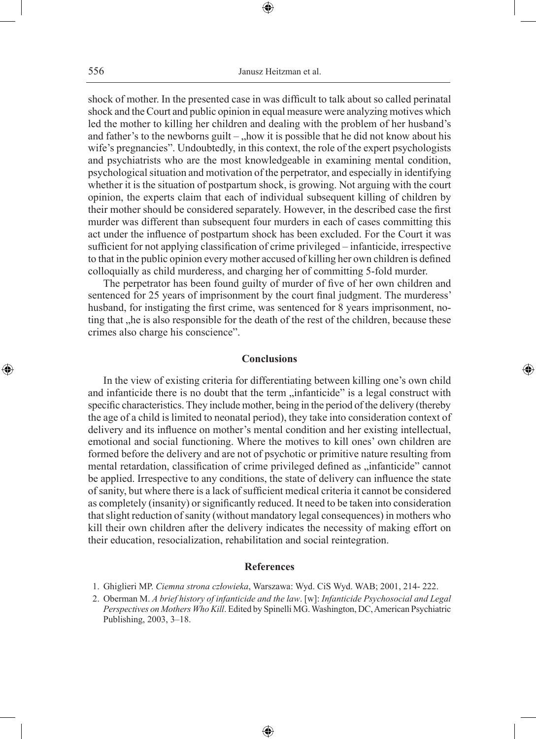shock of mother. In the presented case in was difficult to talk about so called perinatal shock and the Court and public opinion in equal measure were analyzing motives which led the mother to killing her children and dealing with the problem of her husband's and father's to the newborns guilt –  $\Delta$  how it is possible that he did not know about his wife's pregnancies". Undoubtedly, in this context, the role of the expert psychologists and psychiatrists who are the most knowledgeable in examining mental condition, psychological situation and motivation of the perpetrator, and especially in identifying whether it is the situation of postpartum shock, is growing. Not arguing with the court opinion, the experts claim that each of individual subsequent killing of children by their mother should be considered separately. However, in the described case the first murder was different than subsequent four murders in each of cases committing this act under the influence of postpartum shock has been excluded. For the Court it was sufficient for not applying classification of crime privileged – infanticide, irrespective to that in the public opinion every mother accused of killing her own children is defined colloquially as child murderess, and charging her of committing 5-fold murder.

The perpetrator has been found guilty of murder of five of her own children and sentenced for 25 years of imprisonment by the court final judgment. The murderess' husband, for instigating the first crime, was sentenced for 8 years imprisonment, noting that , he is also responsible for the death of the rest of the children, because these crimes also charge his conscience".

## **Conclusions**

◈

In the view of existing criteria for differentiating between killing one's own child and infanticide there is no doubt that the term "infanticide" is a legal construct with specific characteristics. They include mother, being in the period of the delivery (thereby the age of a child is limited to neonatal period), they take into consideration context of delivery and its influence on mother's mental condition and her existing intellectual, emotional and social functioning. Where the motives to kill ones' own children are formed before the delivery and are not of psychotic or primitive nature resulting from mental retardation, classification of crime privileged defined as "infanticide" cannot be applied. Irrespective to any conditions, the state of delivery can influence the state of sanity, but where there is a lack of sufficient medical criteria it cannot be considered as completely (insanity) or significantly reduced. It need to be taken into consideration that slight reduction of sanity (without mandatory legal consequences) in mothers who kill their own children after the delivery indicates the necessity of making effort on their education, resocialization, rehabilitation and social reintegration.

## **References**

- 1. Ghiglieri MP. *Ciemna strona człowieka*, Warszawa: Wyd. CiS Wyd. WAB; 2001, 214- 222.
- 2. Oberman M. *A brief history of infanticide and the law*. [w]: *Infanticide Psychosocial and Legal Perspectives on Mothers Who Kill*. Edited by Spinelli MG. Washington, DC, American Psychiatric Publishing, 2003, 3–18.

◈